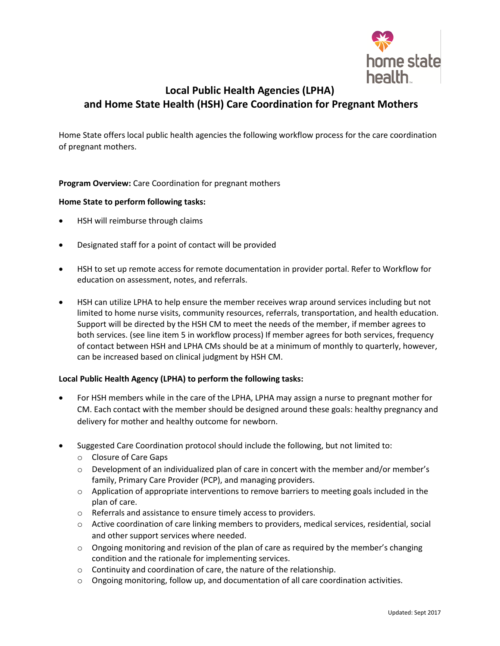

# **Local Public Health Agencies (LPHA) and Home State Health (HSH) Care Coordination for Pregnant Mothers**

Home State offers local public health agencies the following workflow process for the care coordination of pregnant mothers.

### **Program Overview:** Care Coordination for pregnant mothers

### **Home State to perform following tasks:**

- HSH will reimburse through claims
- Designated staff for a point of contact will be provided
- HSH to set up remote access for remote documentation in provider portal. Refer to Workflow for education on assessment, notes, and referrals.
- HSH can utilize LPHA to help ensure the member receives wrap around services including but not limited to home nurse visits, community resources, referrals, transportation, and health education. Support will be directed by the HSH CM to meet the needs of the member, if member agrees to both services. (see line item 5 in workflow process) If member agrees for both services, frequency of contact between HSH and LPHA CMs should be at a minimum of monthly to quarterly, however, can be increased based on clinical judgment by HSH CM.

### **Local Public Health Agency (LPHA) to perform the following tasks:**

- For HSH members while in the care of the LPHA, LPHA may assign a nurse to pregnant mother for CM. Each contact with the member should be designed around these goals: healthy pregnancy and delivery for mother and healthy outcome for newborn.
- Suggested Care Coordination protocol should include the following, but not limited to:
	- o Closure of Care Gaps
	- o Development of an individualized plan of care in concert with the member and/or member's family, Primary Care Provider (PCP), and managing providers.
	- $\circ$  Application of appropriate interventions to remove barriers to meeting goals included in the plan of care.
	- o Referrals and assistance to ensure timely access to providers.
	- o Active coordination of care linking members to providers, medical services, residential, social and other support services where needed.
	- $\circ$  Ongoing monitoring and revision of the plan of care as required by the member's changing condition and the rationale for implementing services.
	- o Continuity and coordination of care, the nature of the relationship.
	- o Ongoing monitoring, follow up, and documentation of all care coordination activities.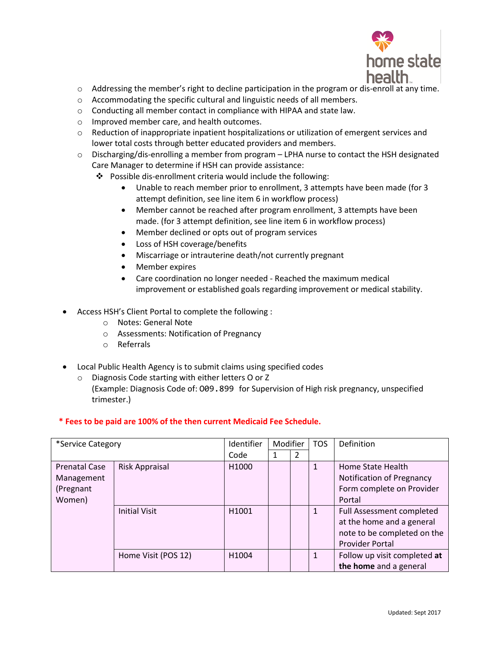

- o Addressing the member's right to decline participation in the program or dis-enroll at any time.
- o Accommodating the specific cultural and linguistic needs of all members.
- o Conducting all member contact in compliance with HIPAA and state law.
- o Improved member care, and health outcomes.
- o Reduction of inappropriate inpatient hospitalizations or utilization of emergent services and lower total costs through better educated providers and members.
- $\circ$  Discharging/dis-enrolling a member from program LPHA nurse to contact the HSH designated Care Manager to determine if HSH can provide assistance:
	- Possible dis-enrollment criteria would include the following:
		- Unable to reach member prior to enrollment, 3 attempts have been made (for 3 attempt definition, see line item 6 in workflow process)
		- Member cannot be reached after program enrollment, 3 attempts have been made. (for 3 attempt definition, see line item 6 in workflow process)
		- Member declined or opts out of program services
		- Loss of HSH coverage/benefits
		- Miscarriage or intrauterine death/not currently pregnant
		- Member expires
		- Care coordination no longer needed Reached the maximum medical improvement or established goals regarding improvement or medical stability.
- Access HSH's Client Portal to complete the following :
	- o Notes: General Note
	- o Assessments: Notification of Pregnancy
	- o Referrals
- Local Public Health Agency is to submit claims using specified codes
	- o Diagnosis Code starting with either letters O or Z
		- (Example: Diagnosis Code of: O09.899 for Supervision of High risk pregnancy, unspecified trimester.)

### **\* Fees to be paid are 100% of the then current Medicaid Fee Schedule.**

| *Service Category                  |                      | Identifier        | Modifier |   | <b>TOS</b> | Definition                                     |
|------------------------------------|----------------------|-------------------|----------|---|------------|------------------------------------------------|
|                                    |                      | Code              | 1        | 2 |            |                                                |
| <b>Prenatal Case</b><br>Management | Risk Appraisal       | H <sub>1000</sub> |          |   | 1          | Home State Health<br>Notification of Pregnancy |
| (Pregnant                          |                      |                   |          |   |            | Form complete on Provider                      |
| Women)                             |                      |                   |          |   |            | Portal                                         |
|                                    | <b>Initial Visit</b> | H1001             |          |   |            | Full Assessment completed                      |
|                                    |                      |                   |          |   |            | at the home and a general                      |
|                                    |                      |                   |          |   |            | note to be completed on the                    |
|                                    |                      |                   |          |   |            | <b>Provider Portal</b>                         |
|                                    | Home Visit (POS 12)  | H1004             |          |   | 1          | Follow up visit completed at                   |
|                                    |                      |                   |          |   |            | the home and a general                         |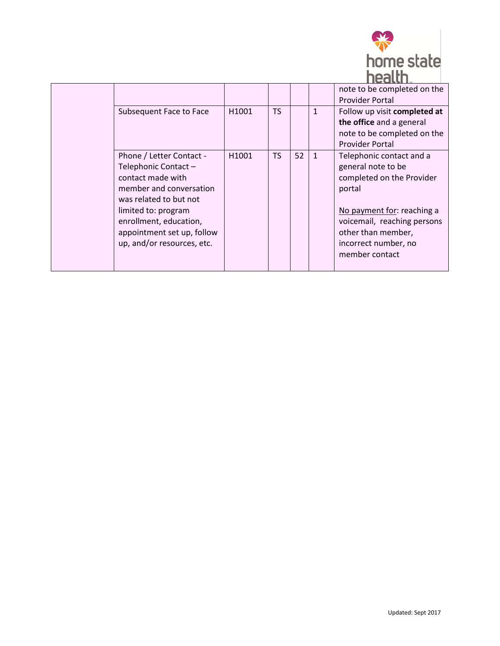

| Subsequent Face to Face                                                                                                                                                                                                                 | H1001 | TS |    | $\mathbf{1}$ | -----<br>note to be completed on the<br><b>Provider Portal</b><br>Follow up visit completed at<br>the office and a general<br>note to be completed on the<br><b>Provider Portal</b>                                |
|-----------------------------------------------------------------------------------------------------------------------------------------------------------------------------------------------------------------------------------------|-------|----|----|--------------|--------------------------------------------------------------------------------------------------------------------------------------------------------------------------------------------------------------------|
| Phone / Letter Contact -<br>Telephonic Contact -<br>contact made with<br>member and conversation<br>was related to but not<br>limited to: program<br>enrollment, education,<br>appointment set up, follow<br>up, and/or resources, etc. | H1001 | TS | 52 | $\mathbf{1}$ | Telephonic contact and a<br>general note to be<br>completed on the Provider<br>portal<br>No payment for: reaching a<br>voicemail, reaching persons<br>other than member,<br>incorrect number, no<br>member contact |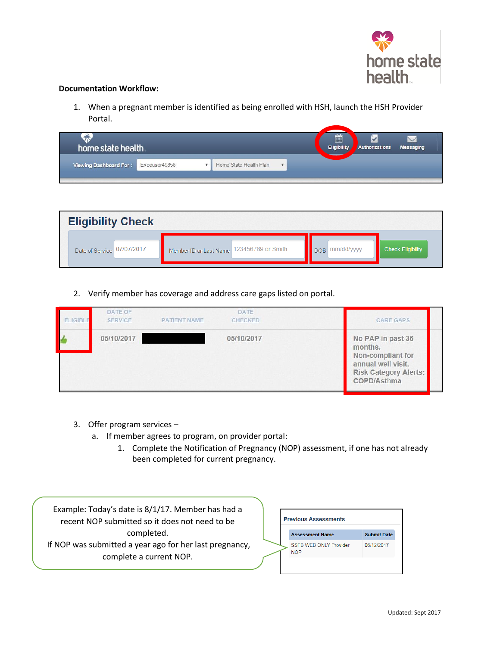

#### **Documentation Workflow:**

1. When a pregnant member is identified as being enrolled with HSH, launch the HSH Provider Portal.

| home state health.     |               |                        |   | 崮<br><b>Eligibility</b> | Authorizations | <b>Messaging</b> |
|------------------------|---------------|------------------------|---|-------------------------|----------------|------------------|
| Viewing Dashboard For: | Exceuser49858 | Home State Health Plan | v |                         |                |                  |

| <b>Eligibility Check</b>   |                                           |                   |                          |
|----------------------------|-------------------------------------------|-------------------|--------------------------|
| Date of Service 07/07/2017 | Member ID or Last Name 123456789 or Smith | mm/dd/yyyy<br>DOB | <b>Check Eligibility</b> |

2. Verify member has coverage and address care gaps listed on portal.

| <b>ELIGIBLE</b> | DATE OF<br><b>SERVICE</b> | <b>PATIENT NAME</b> | <b>DATE</b><br>CHECKED | <b>CARE GAPS</b>                                                                                                       |
|-----------------|---------------------------|---------------------|------------------------|------------------------------------------------------------------------------------------------------------------------|
|                 | 05/10/2017                |                     | 05/10/2017             | No PAP in past 36<br>months.<br>Non-compliant for<br>annual well visit.<br><b>Risk Category Alerts:</b><br>COPD/Asthma |

- 3. Offer program services
	- a. If member agrees to program, on provider portal:
		- 1. Complete the Notification of Pregnancy (NOP) assessment, if one has not already been completed for current pregnancy.

 Example: Today's date is 8/1/17. Member has had a recent NOP submitted so it does not need to be completed. If NOP was submitted a year ago for her last pregnancy, complete a current NOP.

| <b>Previous Assessments</b>                 |                    |
|---------------------------------------------|--------------------|
| <b>Assessment Name</b>                      | <b>Submit Date</b> |
| <b>SSFB WEB ONLY Provider</b><br><b>NOP</b> | 06/12/2017         |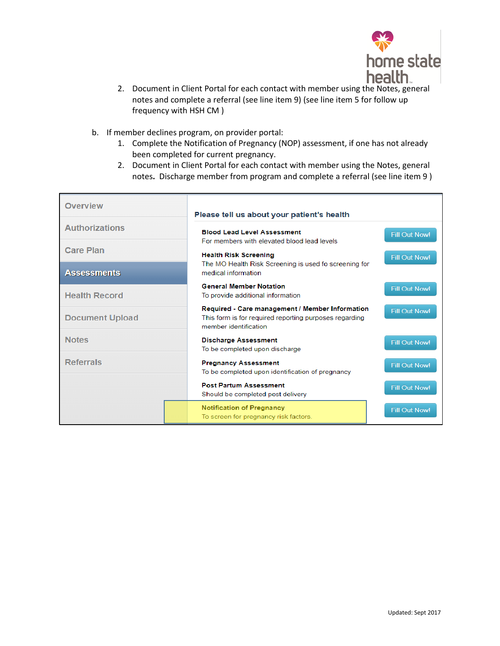

- 2. Document in Client Portal for each contact with member using the Notes, general notes and complete a referral (see line item 9) (see line item 5 for follow up frequency with HSH CM )
- b. If member declines program, on provider portal:
	- 1. Complete the Notification of Pregnancy (NOP) assessment, if one has not already been completed for current pregnancy.
	- 2. Document in Client Portal for each contact with member using the Notes, general notes**.** Discharge member from program and complete a referral (see line item 9 )

| <b>Overview</b>        | Please tell us about your patient's health                                                                                          |                      |  |
|------------------------|-------------------------------------------------------------------------------------------------------------------------------------|----------------------|--|
| <b>Authorizations</b>  | <b>Blood Lead Level Assessment</b><br>For members with elevated blood lead levels                                                   | <b>Fill Out Now!</b> |  |
| <b>Care Plan</b>       | <b>Health Risk Screening</b>                                                                                                        | <b>Fill Out Now!</b> |  |
| <b>Assessments</b>     | The MO Health Risk Screening is used fo screening for<br>medical information.                                                       |                      |  |
| <b>Health Record</b>   | <b>General Member Notation</b><br>To provide additional information                                                                 | <b>Fill Out Now!</b> |  |
| <b>Document Upload</b> | Required - Care management / Member Information<br>This form is for required reporting purposes regarding<br>member identification. | <b>Fill Out Now!</b> |  |
| <b>Notes</b>           | <b>Discharge Assessment</b><br>To be completed upon discharge                                                                       | <b>Fill Out Now!</b> |  |
| <b>Referrals</b>       | <b>Pregnancy Assessment</b><br>To be completed upon identification of pregnancy                                                     | <b>Fill Out Now!</b> |  |
|                        | <b>Post Partum Assessment</b><br>Should be completed post delivery                                                                  | <b>Fill Out Now!</b> |  |
|                        | <b>Notification of Pregnancy</b><br>To screen for pregnancy risk factors.                                                           | <b>Fill Out Now!</b> |  |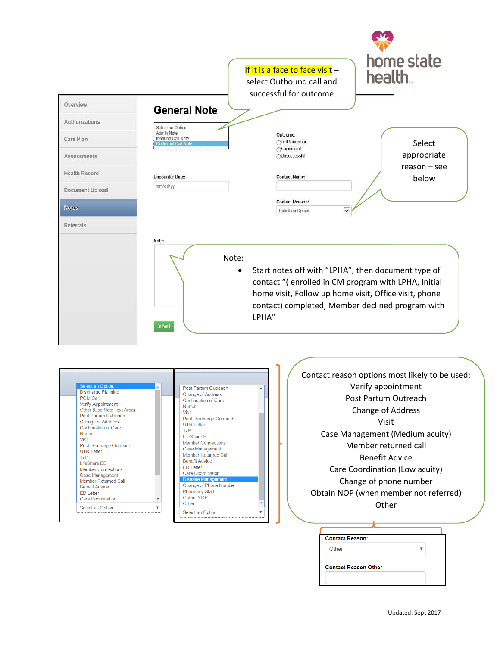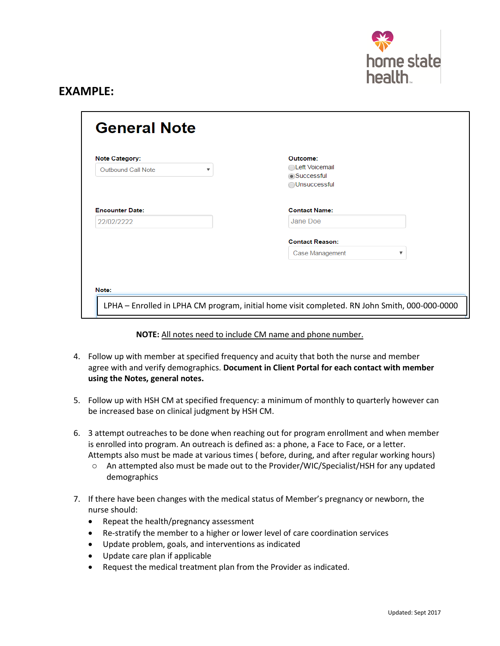

# **EXAMPLE:**

| Outbound Call Note     | ▼ | ◯Left Voicemail<br>Successful<br>◯Unsuccessful |
|------------------------|---|------------------------------------------------|
| <b>Encounter Date:</b> |   | <b>Contact Name:</b>                           |
| 22/02/2222             |   | Jane Doe                                       |
|                        |   | <b>Contact Reason:</b>                         |
|                        |   | Case Management<br>▼                           |

### **NOTE:** All notes need to include CM name and phone number.

- 4. Follow up with member at specified frequency and acuity that both the nurse and member agree with and verify demographics. **Document in Client Portal for each contact with member using the Notes, general notes.**
- 5. Follow up with HSH CM at specified frequency: a minimum of monthly to quarterly however can be increased base on clinical judgment by HSH CM.
- 6. 3 attempt outreaches to be done when reaching out for program enrollment and when member is enrolled into program. An outreach is defined as: a phone, a Face to Face, or a letter. Attempts also must be made at various times ( before, during, and after regular working hours)
	- o An attempted also must be made out to the Provider/WIC/Specialist/HSH for any updated demographics
- 7. If there have been changes with the medical status of Member's pregnancy or newborn, the nurse should:
	- Repeat the health/pregnancy assessment
	- Re-stratify the member to a higher or lower level of care coordination services
	- Update problem, goals, and interventions as indicated
	- Update care plan if applicable
	- Request the medical treatment plan from the Provider as indicated.